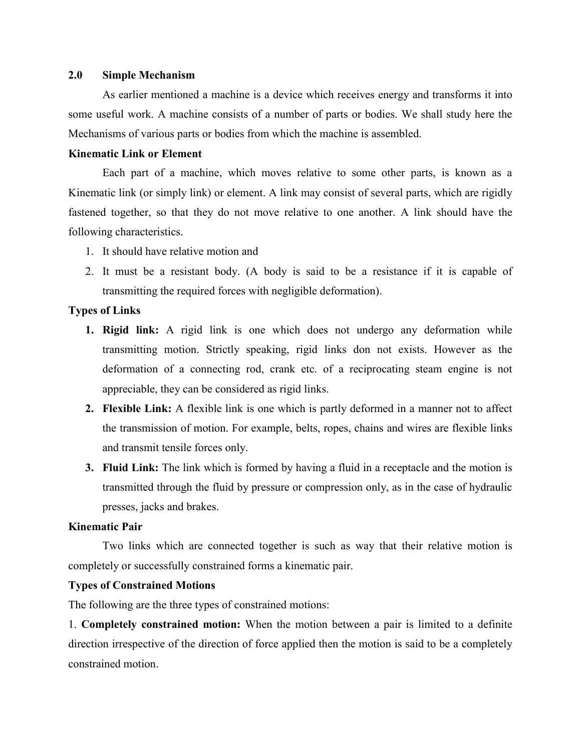## **2.0 Simple Mechanism**

As earlier mentioned a machine is a device which receives energy and transforms it into some useful work. A machine consists of a number of parts or bodies. We shall study here the Mechanisms of various parts or bodies from which the machine is assembled.

# **Kinematic Link or Element**

Each part of a machine, which moves relative to some other parts, is known as a Kinematic link (or simply link) or element. A link may consist of several parts, which are rigidly fastened together, so that they do not move relative to one another. A link should have the following characteristics.

- 1. It should have relative motion and
- 2. It must be a resistant body. (A body is said to be a resistance if it is capable of transmitting the required forces with negligible deformation).

# **Types of Links**

- **1. Rigid link:** A rigid link is one which does not undergo any deformation while transmitting motion. Strictly speaking, rigid links don not exists. However as the deformation of a connecting rod, crank etc. of a reciprocating steam engine is not appreciable, they can be considered as rigid links.
- **2. Flexible Link:** A flexible link is one which is partly deformed in a manner not to affect the transmission of motion. For example, belts, ropes, chains and wires are flexible links and transmit tensile forces only.
- **3. Fluid Link:** The link which is formed by having a fluid in a receptacle and the motion is transmitted through the fluid by pressure or compression only, as in the case of hydraulic presses, jacks and brakes.

# **Kinematic Pair**

Two links which are connected together is such as way that their relative motion is completely or successfully constrained forms a kinematic pair.

# **Types of Constrained Motions**

The following are the three types of constrained motions:

1. **Completely constrained motion:** When the motion between a pair is limited to a definite direction irrespective of the direction of force applied then the motion is said to be a completely constrained motion.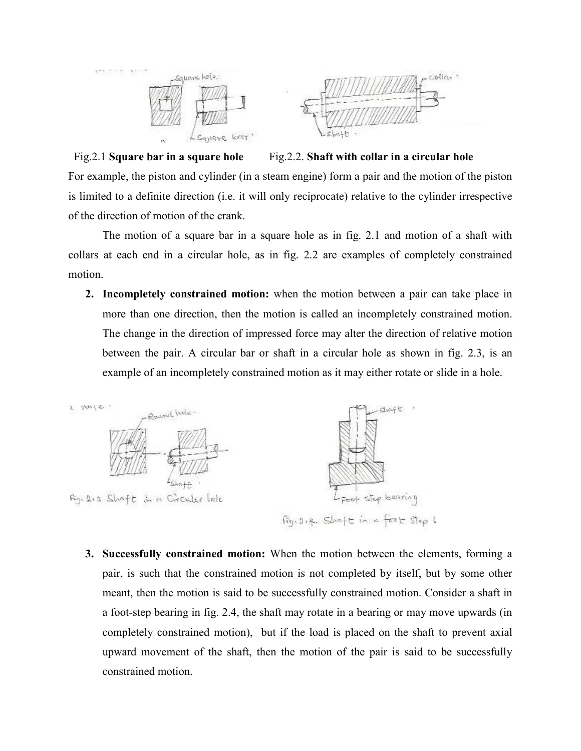

Fig. 2.1 **Square bar in a square hole** Fig. 2.2. **Shaft with collar in a circular hole** For example, the piston and cylinder (in a steam engine) form a pair and the motion of the piston is limited to a definite direction (i.e. it will only reciprocate) relative to the cylinder irrespective of the direction of motion of the crank.

The motion of a square bar in a square hole as in fig. 2.1 and motion of a shaft with collars at each end in a circular hole, as in fig. 2.2 are examples of completely constrained motion.

**2. Incompletely constrained motion:** when the motion between a pair can take place in more than one direction, then the motion is called an incompletely constrained motion. The change in the direction of impressed force may alter the direction of relative motion between the pair. A circular bar or shaft in a circular hole as shown in fig. 2.3, is an example of an incompletely constrained motion as it may either rotate or slide in a hole.



**3. Successfully constrained motion:** When the motion between the elements, forming a pair, is such that the constrained motion is not completed by itself, but by some other meant, then the motion is said to be successfully constrained motion. Consider a shaft in a foot-step bearing in fig. 2.4, the shaft may rotate in a bearing or may move upwards (in completely constrained motion), but if the load is placed on the shaft to prevent axial upward movement of the shaft, then the motion of the pair is said to be successfully constrained motion.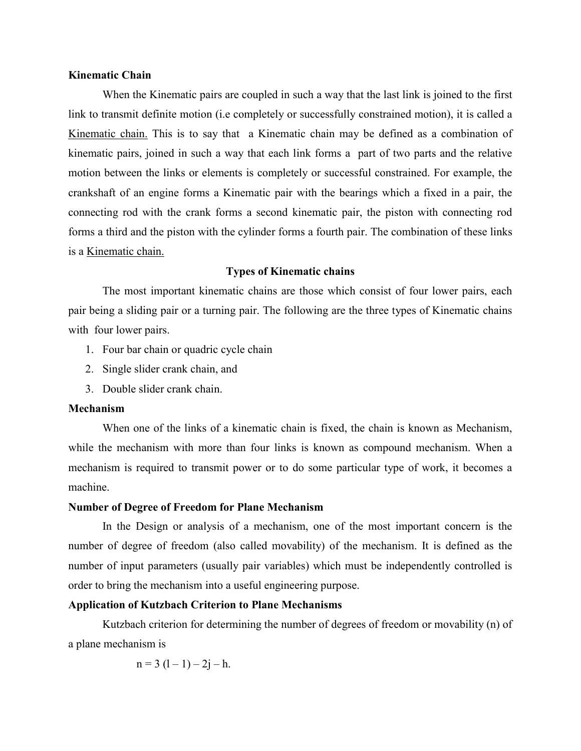## **Kinematic Chain**

When the Kinematic pairs are coupled in such a way that the last link is joined to the first link to transmit definite motion (i.e completely or successfully constrained motion), it is called a Kinematic chain. This is to say that a Kinematic chain may be defined as a combination of kinematic pairs, joined in such a way that each link forms a part of two parts and the relative motion between the links or elements is completely or successful constrained. For example, the crankshaft of an engine forms a Kinematic pair with the bearings which a fixed in a pair, the connecting rod with the crank forms a second kinematic pair, the piston with connecting rod forms a third and the piston with the cylinder forms a fourth pair. The combination of these links is a Kinematic chain.

## **Types of Kinematic chains**

The most important kinematic chains are those which consist of four lower pairs, each pair being a sliding pair or a turning pair. The following are the three types of Kinematic chains with four lower pairs.

- 1. Four bar chain or quadric cycle chain
- 2. Single slider crank chain, and
- 3. Double slider crank chain.

## **Mechanism**

When one of the links of a kinematic chain is fixed, the chain is known as Mechanism, while the mechanism with more than four links is known as compound mechanism. When a mechanism is required to transmit power or to do some particular type of work, it becomes a machine.

# **Number of Degree of Freedom for Plane Mechanism**

In the Design or analysis of a mechanism, one of the most important concern is the number of degree of freedom (also called movability) of the mechanism. It is defined as the number of input parameters (usually pair variables) which must be independently controlled is order to bring the mechanism into a useful engineering purpose.

# **Application of Kutzbach Criterion to Plane Mechanisms**

Kutzbach criterion for determining the number of degrees of freedom or movability (n) of a plane mechanism is

$$
n = 3 (l - 1) - 2j - h.
$$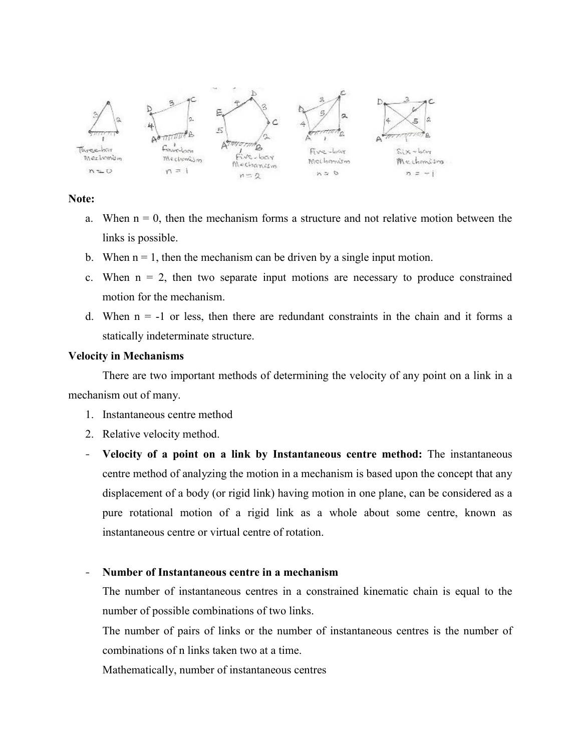

**Note:**

- a. When  $n = 0$ , then the mechanism forms a structure and not relative motion between the links is possible.
- b. When  $n = 1$ , then the mechanism can be driven by a single input motion.
- c. When  $n = 2$ , then two separate input motions are necessary to produce constrained motion for the mechanism.
- d. When  $n = -1$  or less, then there are redundant constraints in the chain and it forms a statically indeterminate structure.

# **Velocity in Mechanisms**

There are two important methods of determining the velocity of any point on a link in a mechanism out of many.

- 1. Instantaneous centre method
- 2. Relative velocity method.
- **Velocity of a point on a link by Instantaneous centre method:** The instantaneous centre method of analyzing the motion in a mechanism is based upon the concept that any displacement of a body (or rigid link) having motion in one plane, can be considered as a pure rotational motion of a rigid link as a whole about some centre, known as instantaneous centre or virtual centre of rotation.

# - **Number of Instantaneous centre in a mechanism**

The number of instantaneous centres in a constrained kinematic chain is equal to the number of possible combinations of two links.

The number of pairs of links or the number of instantaneous centres is the number of combinations of n links taken two at a time.

Mathematically, number of instantaneous centres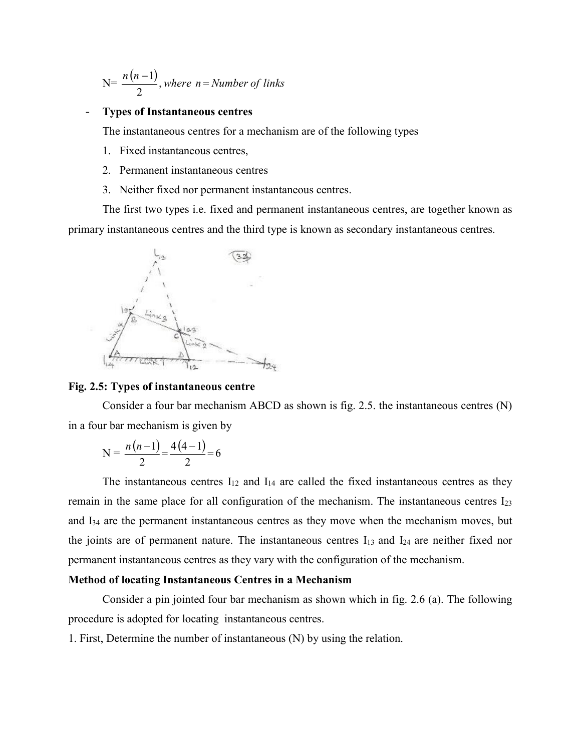$$
N = \frac{n(n-1)}{2}
$$
, where  $n =$  Number of links

#### - **Types of Instantaneous centres**

The instantaneous centres for a mechanism are of the following types

- 1. Fixed instantaneous centres,
- 2. Permanent instantaneous centres
- 3. Neither fixed nor permanent instantaneous centres.

The first two types i.e. fixed and permanent instantaneous centres, are together known as primary instantaneous centres and the third type is known as secondary instantaneous centres.



# **Fig. 2.5: Types of instantaneous centre**

Consider a four bar mechanism ABCD as shown is fig. 2.5. the instantaneous centres (N) in a four bar mechanism is given by

$$
N = \frac{n(n-1)}{2} = \frac{4(4-1)}{2} = 6
$$

The instantaneous centres  $I_{12}$  and  $I_{14}$  are called the fixed instantaneous centres as they remain in the same place for all configuration of the mechanism. The instantaneous centres I23 and I34 are the permanent instantaneous centres as they move when the mechanism moves, but the joints are of permanent nature. The instantaneous centres  $I_{13}$  and  $I_{24}$  are neither fixed nor permanent instantaneous centres as they vary with the configuration of the mechanism.

### **Method of locating Instantaneous Centres in a Mechanism**

Consider a pin jointed four bar mechanism as shown which in fig. 2.6 (a). The following procedure is adopted for locating instantaneous centres.

1. First, Determine the number of instantaneous (N) by using the relation.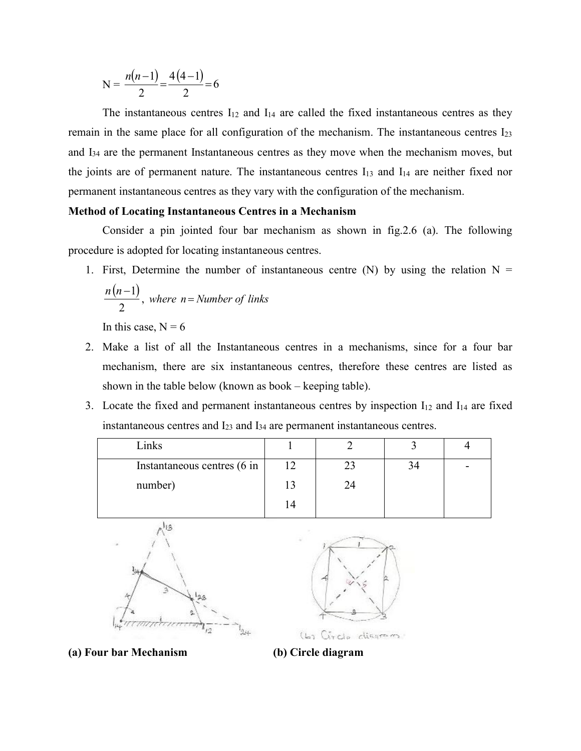$$
N = \frac{n(n-1)}{2} = \frac{4(4-1)}{2} = 6
$$

The instantaneous centres  $I_{12}$  and  $I_{14}$  are called the fixed instantaneous centres as they remain in the same place for all configuration of the mechanism. The instantaneous centres I23 and I34 are the permanent Instantaneous centres as they move when the mechanism moves, but the joints are of permanent nature. The instantaneous centres  $I_{13}$  and  $I_{14}$  are neither fixed nor permanent instantaneous centres as they vary with the configuration of the mechanism.

## **Method of Locating Instantaneous Centres in a Mechanism**

Consider a pin jointed four bar mechanism as shown in fig.2.6 (a). The following procedure is adopted for locating instantaneous centres.

1. First, Determine the number of instantaneous centre (N) by using the relation  $N =$  $(n-1)$ 2  $\frac{n(n-1)}{2}$ , where  $n =$  *Number of links* 

In this case,  $N = 6$ 

- 2. Make a list of all the Instantaneous centres in a mechanisms, since for a four bar mechanism, there are six instantaneous centres, therefore these centres are listed as shown in the table below (known as book – keeping table).
- 3. Locate the fixed and permanent instantaneous centres by inspection  $I_{12}$  and  $I_{14}$  are fixed instantaneous centres and I23 and I34 are permanent instantaneous centres.

| Links                       |    |  |  |
|-----------------------------|----|--|--|
| Instantaneous centres (6 in | 12 |  |  |
| number)                     | 13 |  |  |
|                             | 14 |  |  |





**(a) Four bar Mechanism (b) Circle diagram**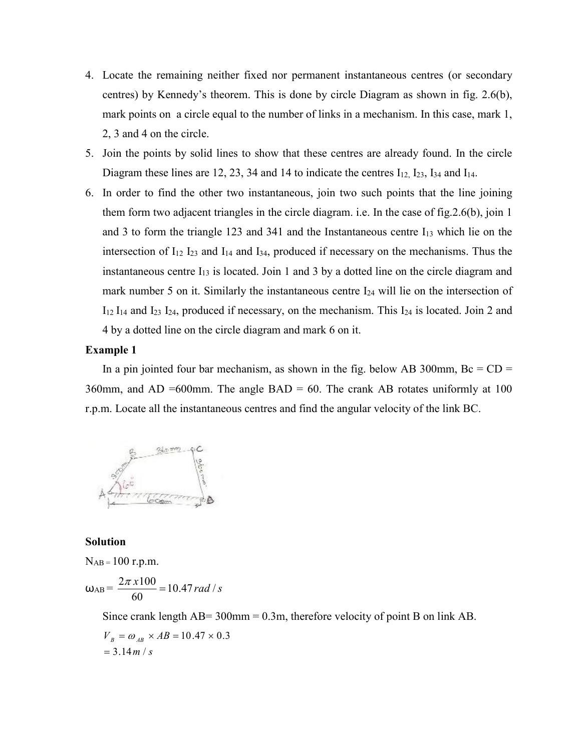- 4. Locate the remaining neither fixed nor permanent instantaneous centres (or secondary centres) by Kennedy's theorem. This is done by circle Diagram as shown in fig. 2.6(b), mark points on a circle equal to the number of links in a mechanism. In this case, mark 1, 2, 3 and 4 on the circle.
- 5. Join the points by solid lines to show that these centres are already found. In the circle Diagram these lines are 12, 23, 34 and 14 to indicate the centres  $I_{12}$ ,  $I_{23}$ ,  $I_{34}$  and  $I_{14}$ .
- 6. In order to find the other two instantaneous, join two such points that the line joining them form two adjacent triangles in the circle diagram. i.e. In the case of fig.2.6(b), join 1 and 3 to form the triangle 123 and 341 and the Instantaneous centre  $I_{13}$  which lie on the intersection of I12 I23 and I14 and I34, produced if necessary on the mechanisms. Thus the instantaneous centre  $I_{13}$  is located. Join 1 and 3 by a dotted line on the circle diagram and mark number 5 on it. Similarly the instantaneous centre  $I_{24}$  will lie on the intersection of I12 I14 and I23 I24, produced if necessary, on the mechanism. This I24 is located. Join 2 and 4 by a dotted line on the circle diagram and mark 6 on it.

#### **Example 1**

In a pin jointed four bar mechanism, as shown in the fig. below AB 300mm,  $Bc = CD =$ 360mm, and AD =600mm. The angle BAD = 60. The crank AB rotates uniformly at 100 r.p.m. Locate all the instantaneous centres and find the angular velocity of the link BC.



#### **Solution**

 $N_{AB} = 100$  r.p.m.

$$
\omega_{AB} = \frac{2\pi x 100}{60} = 10.47 rad/s
$$

Since crank length AB= 300mm = 0.3m, therefore velocity of point B on link AB.

$$
V_B = \omega_{AB} \times AB = 10.47 \times 0.3
$$
  
= 3.14 m/s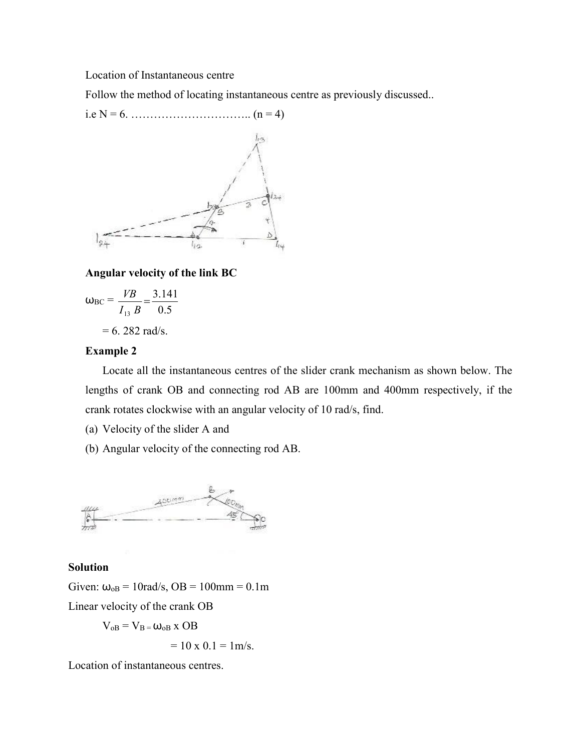Location of Instantaneous centre

Follow the method of locating instantaneous centre as previously discussed..





# **Angular velocity of the link BC**

$$
\omega_{\rm BC} = \frac{VB}{I_{13} B} = \frac{3.141}{0.5}
$$

$$
= 6.282 \text{ rad/s}.
$$

## **Example 2**

Locate all the instantaneous centres of the slider crank mechanism as shown below. The lengths of crank OB and connecting rod AB are 100mm and 400mm respectively, if the crank rotates clockwise with an angular velocity of 10 rad/s, find.

(a) Velocity of the slider A and

(b) Angular velocity of the connecting rod AB.



## **Solution**

Given:  $\omega_{\text{oB}} = 10 \text{rad/s}$ ,  $\text{OB} = 100 \text{mm} = 0.1 \text{m}$ 

Linear velocity of the crank OB

$$
V_{oB} = V_B = \omega_{oB} \times OB
$$

 $= 10 \times 0.1 = 1$  m/s.

Location of instantaneous centres.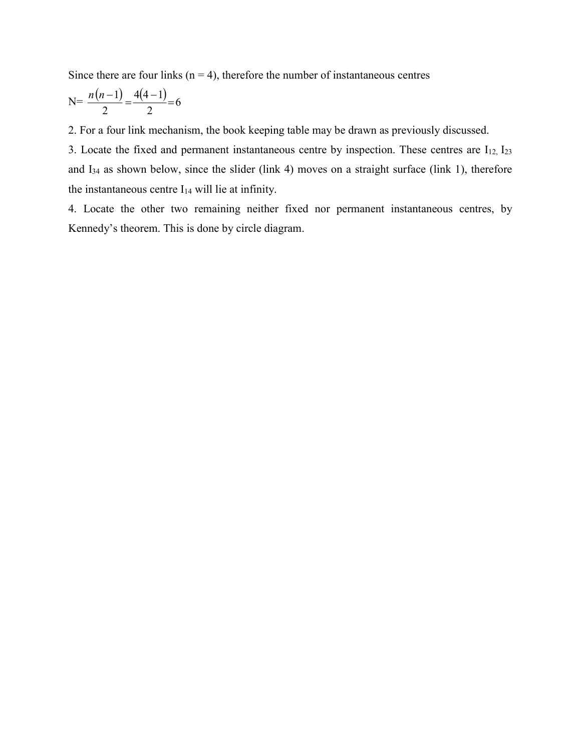Since there are four links ( $n = 4$ ), therefore the number of instantaneous centres

$$
N = \frac{n(n-1)}{2} = \frac{4(4-1)}{2} = 6
$$

2. For a four link mechanism, the book keeping table may be drawn as previously discussed.

3. Locate the fixed and permanent instantaneous centre by inspection. These centres are  $I_{12}$ ,  $I_{23}$ and I34 as shown below, since the slider (link 4) moves on a straight surface (link 1), therefore the instantaneous centre  $I_{14}$  will lie at infinity.

4. Locate the other two remaining neither fixed nor permanent instantaneous centres, by Kennedy's theorem. This is done by circle diagram.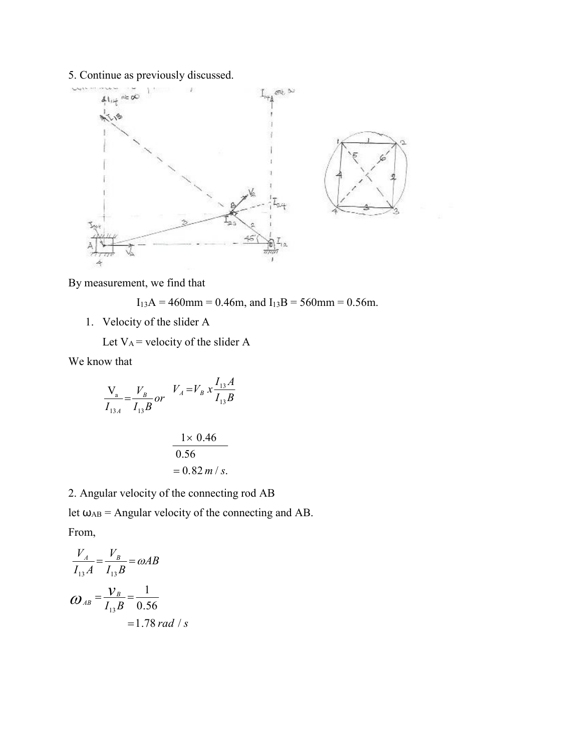# 5. Continue as previously discussed.



By measurement, we find that

 $I_{13}A = 460$ mm = 0.46m, and  $I_{13}B = 560$ mm = 0.56m.

- 1. Velocity of the slider A
	- Let  $V_A$  = velocity of the slider A

We know that

$$
\frac{V_a}{I_{13A}} = \frac{V_B}{I_{13}B} \text{ or } V_A = V_B x \frac{I_{13}A}{I_{13}B}
$$

$$
\frac{1 \times 0.46}{0.56}
$$
  
= 0.82 m/s.

2. Angular velocity of the connecting rod AB

let  $\omega_{AB}$  = Angular velocity of the connecting and AB. From,

$$
\frac{V_A}{I_{13}A} = \frac{V_B}{I_{13}B} = \omega AB
$$
  

$$
\omega_{AB} = \frac{V_B}{I_{13}B} = \frac{1}{0.56}
$$
  
= 1.78 rad / s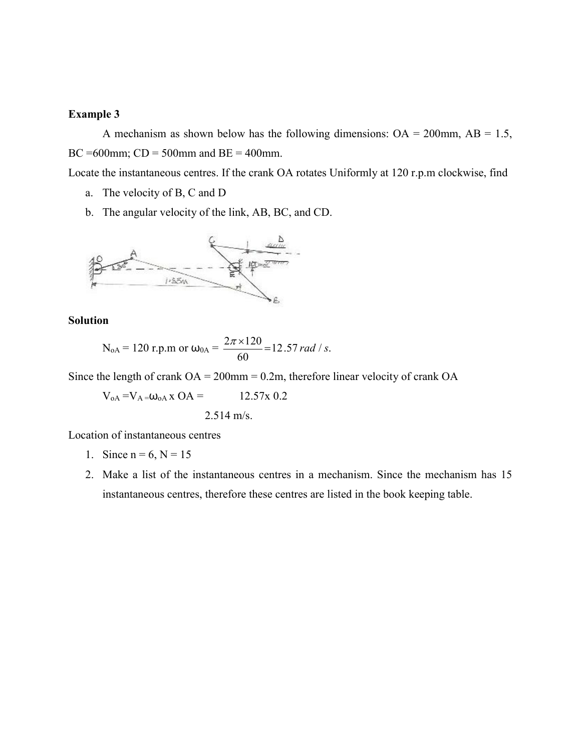### **Example 3**

A mechanism as shown below has the following dimensions:  $OA = 200$ mm,  $AB = 1.5$ , BC =600mm;  $CD = 500$ mm and  $BE = 400$ mm.

Locate the instantaneous centres. If the crank OA rotates Uniformly at 120 r.p.m clockwise, find

- a. The velocity of B, C and D
- b. The angular velocity of the link, AB, BC, and CD.



## **Solution**

$$
N_{oA} = 120 \text{ r.p.m or } \omega_{0A} = \frac{2\pi \times 120}{60} = 12.57 \text{ rad/s}.
$$

Since the length of crank  $OA = 200$ mm = 0.2m, therefore linear velocity of crank  $OA$ 

$$
V_{oA} = V_{A} = \omega_{oA} x \text{ OA} = 12.57x \text{ O.2}
$$
  
2.514 m/s.

Location of instantaneous centres

- 1. Since  $n = 6, N = 15$
- 2. Make a list of the instantaneous centres in a mechanism. Since the mechanism has 15 instantaneous centres, therefore these centres are listed in the book keeping table.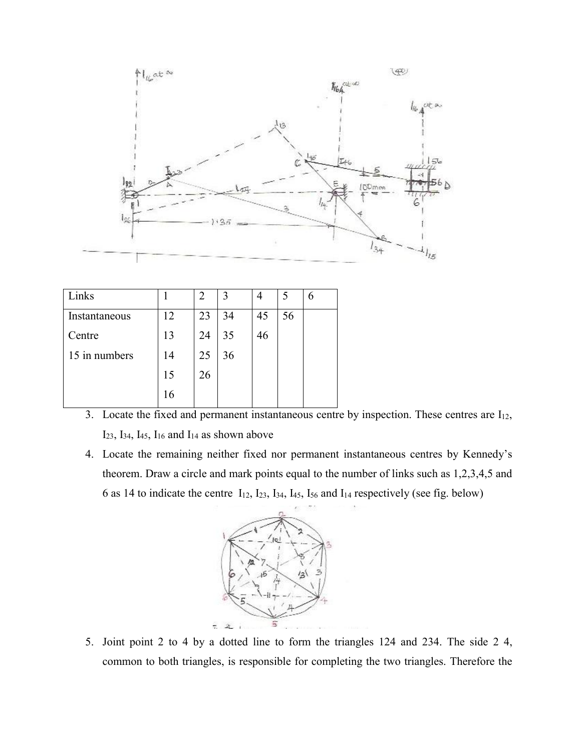

| Links         |    |    |    |    |    | h |
|---------------|----|----|----|----|----|---|
| Instantaneous | 12 | 23 | 34 | 45 | 56 |   |
| Centre        | 13 | 24 | 35 | 46 |    |   |
| 15 in numbers | 14 | 25 | 36 |    |    |   |
|               | 15 | 26 |    |    |    |   |
|               | 16 |    |    |    |    |   |

- 3. Locate the fixed and permanent instantaneous centre by inspection. These centres are  $I_{12}$ ,  $I_{23}$ ,  $I_{34}$ ,  $I_{45}$ ,  $I_{16}$  and  $I_{14}$  as shown above
- 4. Locate the remaining neither fixed nor permanent instantaneous centres by Kennedy's theorem. Draw a circle and mark points equal to the number of links such as 1,2,3,4,5 and 6 as 14 to indicate the centre  $I_{12}$ ,  $I_{23}$ ,  $I_{34}$ ,  $I_{45}$ ,  $I_{56}$  and  $I_{14}$  respectively (see fig. below)



5. Joint point 2 to 4 by a dotted line to form the triangles 124 and 234. The side 2 4, common to both triangles, is responsible for completing the two triangles. Therefore the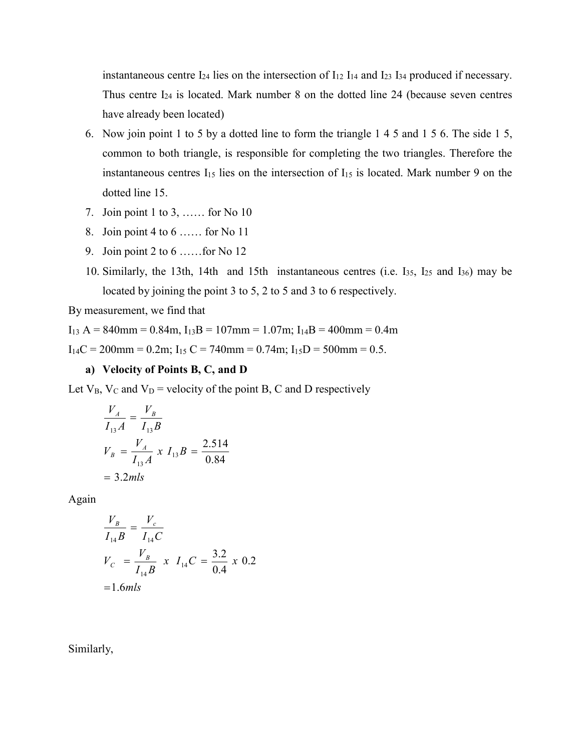instantaneous centre  $I_{24}$  lies on the intersection of  $I_{12}$   $I_{14}$  and  $I_{23}$   $I_{34}$  produced if necessary. Thus centre  $I_{24}$  is located. Mark number 8 on the dotted line 24 (because seven centres have already been located)

- 6. Now join point 1 to 5 by a dotted line to form the triangle 1 4 5 and 1 5 6. The side 1 5, common to both triangle, is responsible for completing the two triangles. Therefore the instantaneous centres  $I_{15}$  lies on the intersection of  $I_{15}$  is located. Mark number 9 on the dotted line 15.
- 7. Join point 1 to 3, …… for No 10
- 8. Join point 4 to 6 …… for No 11
- 9. Join point 2 to 6 ……for No 12
- 10. Similarly, the 13th, 14th and 15th instantaneous centres (i.e. I35, I25 and I36) may be located by joining the point 3 to 5, 2 to 5 and 3 to 6 respectively.

By measurement, we find that

 $I_{13} A = 840$ mm = 0.84m,  $I_{13}B = 107$ mm = 1.07m;  $I_{14}B = 400$ mm = 0.4m

 $I_{14}C = 200$ mm = 0.2m;  $I_{15}C = 740$ mm = 0.74m;  $I_{15}D = 500$ mm = 0.5.

### **a) Velocity of Points B, C, and D**

Let  $V_B$ ,  $V_C$  and  $V_D$  = velocity of the point B, C and D respectively

$$
\frac{V_A}{I_{13}A} = \frac{V_B}{I_{13}B}
$$
  
\n
$$
V_B = \frac{V_A}{I_{13}A} x I_{13}B = \frac{2.514}{0.84}
$$
  
\n= 3.2*mls*

Again

$$
\frac{V_B}{I_{14}B} = \frac{V_c}{I_{14}C}
$$
  
\n
$$
V_C = \frac{V_B}{I_{14}B} \times I_{14}C = \frac{3.2}{0.4} \times 0.2
$$
  
\n=1.6*mls*

Similarly,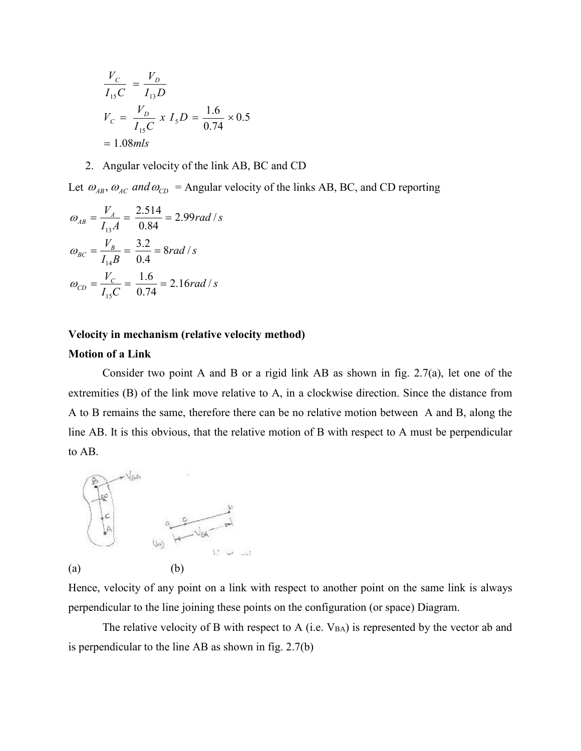$$
\frac{V_C}{I_{15}C} = \frac{V_D}{I_{13}D}
$$
  
\n
$$
V_C = \frac{V_D}{I_{15}C} \times I_5D = \frac{1.6}{0.74} \times 0.5
$$
  
\n= 1.08*mls*

2. Angular velocity of the link AB, BC and CD

Let  $\omega_{AB}$ ,  $\omega_{AC}$  and  $\omega_{CD}$  = Angular velocity of the links AB, BC, and CD reporting

$$
\omega_{AB} = \frac{V_A}{I_{13}A} = \frac{2.514}{0.84} = 2.99 rad/s
$$

$$
\omega_{BC} = \frac{V_B}{I_{14}B} = \frac{3.2}{0.4} = 8 rad/s
$$

$$
\omega_{CD} = \frac{V_C}{I_{15}C} = \frac{1.6}{0.74} = 2.16 rad/s
$$

## **Velocity in mechanism (relative velocity method)**

## **Motion of a Link**

Consider two point A and B or a rigid link AB as shown in fig. 2.7(a), let one of the extremities (B) of the link move relative to A, in a clockwise direction. Since the distance from A to B remains the same, therefore there can be no relative motion between A and B, along the line AB. It is this obvious, that the relative motion of B with respect to A must be perpendicular to AB.



Hence, velocity of any point on a link with respect to another point on the same link is always perpendicular to the line joining these points on the configuration (or space) Diagram.

The relative velocity of B with respect to A (i.e.  $V_{BA}$ ) is represented by the vector ab and is perpendicular to the line AB as shown in fig. 2.7(b)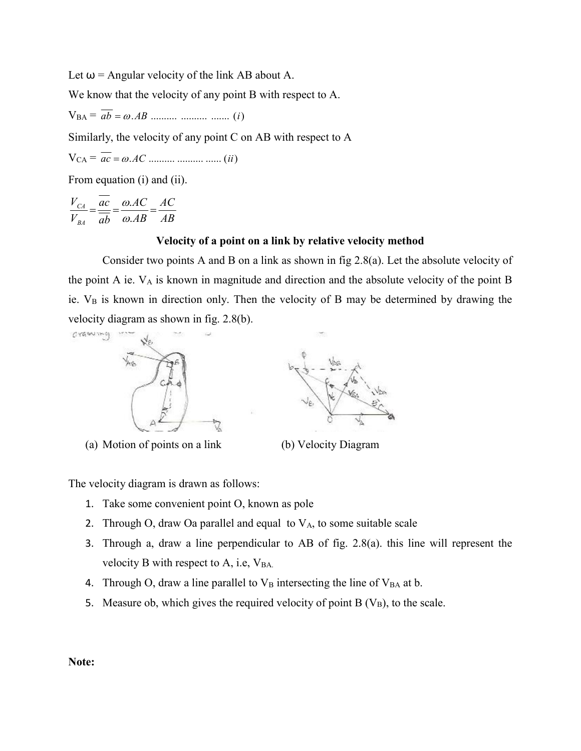Let  $\omega$  = Angular velocity of the link AB about A.

We know that the velocity of any point B with respect to A.

VBA = *ab* .*AB* .......... .......... ....... (*i*)

Similarly, the velocity of any point C on AB with respect to A

$$
V_{CA} = ac = \omega . AC \dots \dots \dots \dots \dots \dots \dots \dots (ii)
$$

From equation (i) and (ii).

$$
\frac{V_{CA}}{V_{BA}} = \frac{\overline{ac}}{\overline{ab}} = \frac{\omega . AC}{\omega . AB} = \frac{AC}{AB}
$$

### **Velocity of a point on a link by relative velocity method**

Consider two points A and B on a link as shown in fig 2.8(a). Let the absolute velocity of the point A ie. VA is known in magnitude and direction and the absolute velocity of the point B ie. V<sub>B</sub> is known in direction only. Then the velocity of B may be determined by drawing the velocity diagram as shown in fig. 2.8(b).



The velocity diagram is drawn as follows:

- 1. Take some convenient point O, known as pole
- 2. Through O, draw Oa parallel and equal to  $V_A$ , to some suitable scale
- 3. Through a, draw a line perpendicular to AB of fig. 2.8(a). this line will represent the velocity B with respect to  $A$ , i.e,  $V_{BA}$ .
- 4. Through O, draw a line parallel to  $V_B$  intersecting the line of  $V_{BA}$  at b.
- 5. Measure ob, which gives the required velocity of point  $B(V_B)$ , to the scale.

**Note:**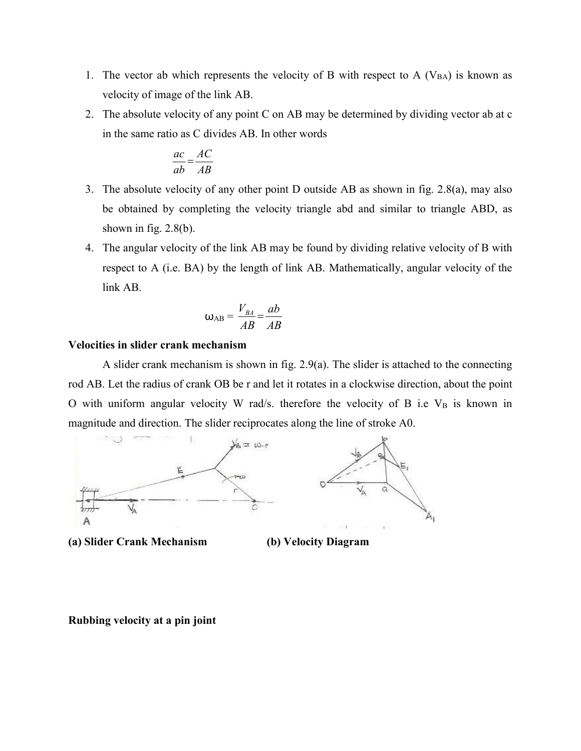- 1. The vector ab which represents the velocity of B with respect to A  $(V_{BA})$  is known as velocity of image of the link AB.
- 2. The absolute velocity of any point C on AB may be determined by dividing vector ab at c in the same ratio as C divides AB. In other words

$$
\frac{ac}{ab} = \frac{AC}{AB}
$$

- 3. The absolute velocity of any other point D outside AB as shown in fig. 2.8(a), may also be obtained by completing the velocity triangle abd and similar to triangle ABD, as shown in fig.  $2.8(b)$ .
- 4. The angular velocity of the link AB may be found by dividing relative velocity of B with respect to A (i.e. BA) by the length of link AB. Mathematically, angular velocity of the link AB.

$$
\omega_{AB} = \frac{V_{BA}}{AB} = \frac{ab}{AB}
$$

# **Velocities in slider crank mechanism**

A slider crank mechanism is shown in fig. 2.9(a). The slider is attached to the connecting rod AB. Let the radius of crank OB be r and let it rotates in a clockwise direction, about the point O with uniform angular velocity W rad/s. therefore the velocity of B i.e  $V_B$  is known in magnitude and direction. The slider reciprocates along the line of stroke A0.



**(a) Slider Crank Mechanism (b) Velocity Diagram**

**Rubbing velocity at a pin joint**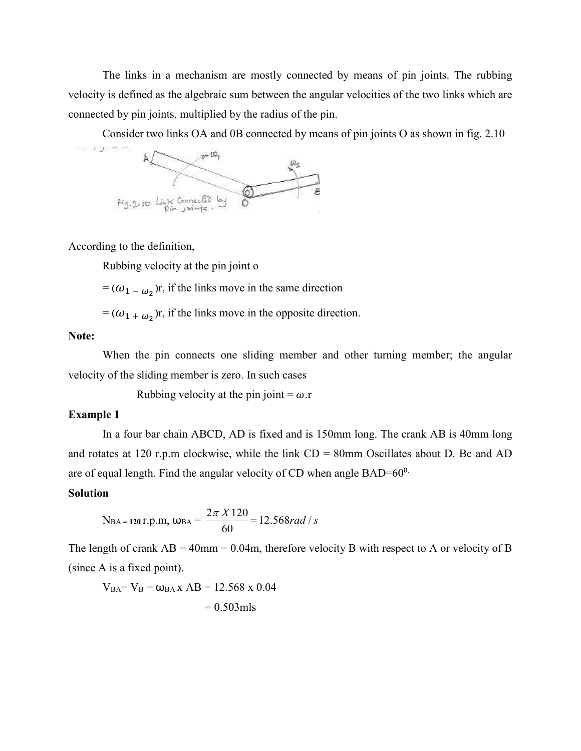The links in a mechanism are mostly connected by means of pin joints. The rubbing velocity is defined as the algebraic sum between the angular velocities of the two links which are connected by pin joints, multiplied by the radius of the pin.

Consider two links OA and 0B connected by means of pin joints O as shown in fig. 2.10



According to the definition,

Rubbing velocity at the pin joint o

 $= (\omega_{1-\omega_{2}})$ r, if the links move in the same direction

 $= (\omega_{1 + \omega_{2}})$ r, if the links move in the opposite direction.

### **Note:**

When the pin connects one sliding member and other turning member; the angular velocity of the sliding member is zero. In such cases

Rubbing velocity at the pin joint =  $\omega$ .r

## **Example 1**

In a four bar chain ABCD, AD is fixed and is 150mm long. The crank AB is 40mm long and rotates at 120 r.p.m clockwise, while the link CD = 80mm Oscillates about D. Bc and AD are of equal length. Find the angular velocity of CD when angle  $BAD=60^0$ .

## **Solution**

$$
N_{BA} = 120 \text{ r.p.m}, \omega_{BA} = \frac{2\pi X 120}{60} = 12.568 \text{ rad/s}
$$

The length of crank  $AB = 40$ mm = 0.04m, therefore velocity B with respect to A or velocity of B (since A is a fixed point).

 $V_{BA} = V_B = \omega_{BA} x AB = 12.568 x 0.04$  $= 0.503$ mls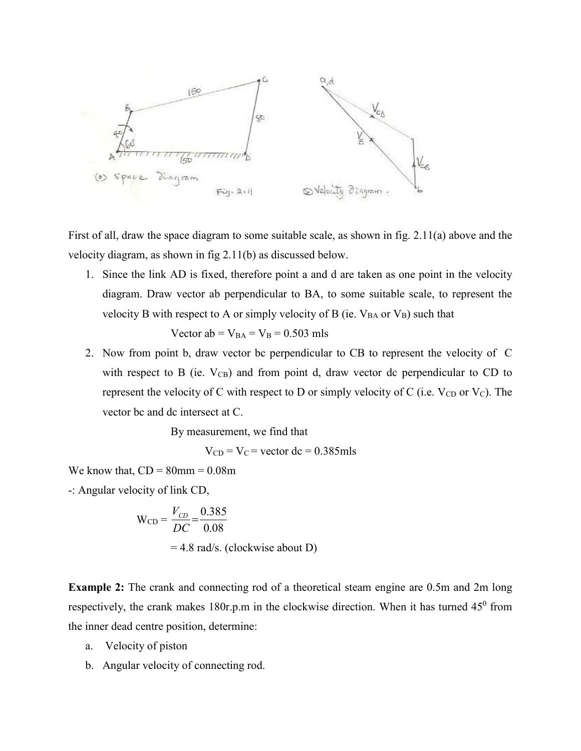

First of all, draw the space diagram to some suitable scale, as shown in fig. 2.11(a) above and the velocity diagram, as shown in fig 2.11(b) as discussed below.

1. Since the link AD is fixed, therefore point a and d are taken as one point in the velocity diagram. Draw vector ab perpendicular to BA, to some suitable scale, to represent the velocity B with respect to A or simply velocity of B (ie.  $V_{BA}$  or  $V_B$ ) such that

Vector ab =  $V_{BA}$  =  $V_B$  = 0.503 mls

2. Now from point b, draw vector bc perpendicular to CB to represent the velocity of C with respect to B (ie.  $V_{CB}$ ) and from point d, draw vector dc perpendicular to CD to represent the velocity of C with respect to D or simply velocity of C (i.e.  $V_{CD}$  or  $V_C$ ). The vector bc and dc intersect at C.

By measurement, we find that

 $V_{CD} = V_C$  = vector dc = 0.385mls

We know that,  $CD = 80$ mm =  $0.08$ m

-: Angular velocity of link CD,

$$
W_{CD} = \frac{V_{CD}}{DC} = \frac{0.385}{0.08}
$$
  
= 4.8 rad/s. (clockwise about D)

**Example 2:** The crank and connecting rod of a theoretical steam engine are 0.5m and 2m long respectively, the crank makes 180r.p.m in the clockwise direction. When it has turned 45<sup>0</sup> from the inner dead centre position, determine:

- a. Velocity of piston
- b. Angular velocity of connecting rod.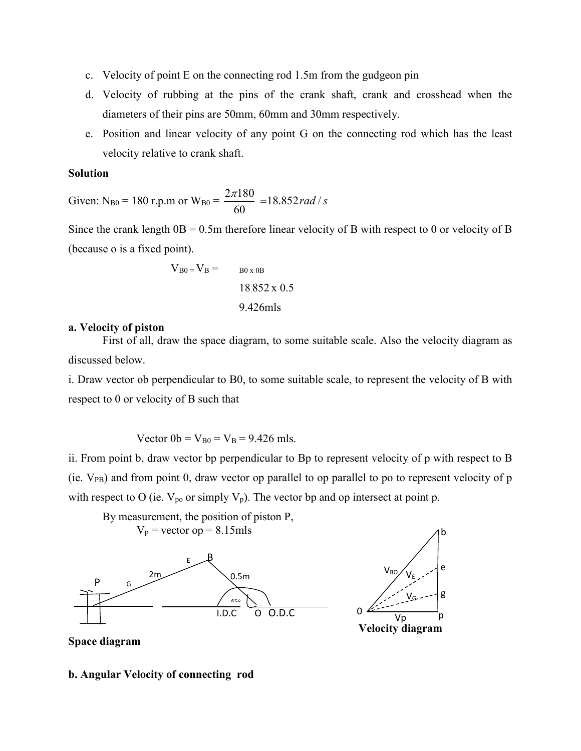- c. Velocity of point E on the connecting rod 1.5m from the gudgeon pin
- d. Velocity of rubbing at the pins of the crank shaft, crank and crosshead when the diameters of their pins are 50mm, 60mm and 30mm respectively.
- e. Position and linear velocity of any point G on the connecting rod which has the least velocity relative to crank shaft.

# **Solution**

Given: N<sub>B0</sub> = 180 r.p.m or W<sub>B0</sub> =  $\frac{2\pi 180}{60}$  = 18.852*rad* /*s* 60  $\frac{2\pi 180}{60}$  =

Since the crank length  $OB = 0.5$ m therefore linear velocity of B with respect to 0 or velocity of B (because o is a fixed point).

$$
V_{B0} = V_B = \t\t B0 \times 0B
$$
  
18.852 x 0.5  
9.426mls

### **a. Velocity of piston**

First of all, draw the space diagram, to some suitable scale. Also the velocity diagram as discussed below.

i. Draw vector ob perpendicular to B0, to some suitable scale, to represent the velocity of B with respect to 0 or velocity of B such that

Vector  $0b = V_{B0} = V_B = 9.426$  mls.

ii. From point b, draw vector bp perpendicular to Bp to represent velocity of p with respect to B (ie. VPB) and from point 0, draw vector op parallel to op parallel to po to represent velocity of p with respect to O (ie.  $V_{po}$  or simply  $V_p$ ). The vector bp and op intersect at point p.



# **Space diagram**

#### **b. Angular Velocity of connecting rod**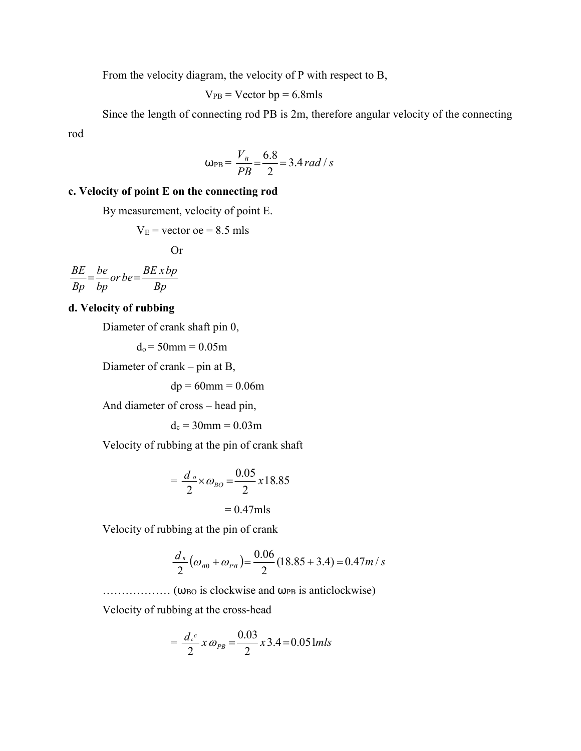From the velocity diagram, the velocity of P with respect to B,

$$
V_{PB}
$$
 = Vector bp = 6.8mls

Since the length of connecting rod PB is 2m, therefore angular velocity of the connecting rod

$$
\omega_{\rm PB} = \frac{V_B}{PB} = \frac{6.8}{2} = 3.4 \, rad / s
$$

# **c. Velocity of point E on the connecting rod**

By measurement, velocity of point E.

$$
VE = vector
$$
oe = 8.5 mls

Or

*Bp*  $\int$ *or*  $be = \frac{BE \times bp}{p}$ *bp be Bp*  $\frac{BE}{B} = \frac{be}{b}$  or be=

# **d. Velocity of rubbing**

Diameter of crank shaft pin 0,

 $d_0 = 50$ mm =  $0.05$ m

Diameter of crank – pin at B,

 $dp = 60$ mm = 0.06m

And diameter of cross – head pin,

 $d_c = 30$ mm = 0.03m

Velocity of rubbing at the pin of crank shaft

$$
= \frac{d_o}{2} \times \omega_{BO} = \frac{0.05}{2} \times 18.85
$$

$$
= 0.47 \text{mls}
$$

Velocity of rubbing at the pin of crank

$$
\frac{d_{\scriptscriptstyle B}}{2}(\omega_{\scriptscriptstyle B0}+\omega_{\scriptscriptstyle PB})=\frac{0.06}{2}(18.85+3.4)=0.47m/s
$$

 $\ldots$   $(\omega_{\text{BO}})$  is clockwise and  $\omega_{\text{PB}}$  is anticlockwise)

Velocity of rubbing at the cross-head

$$
= \frac{d_c^c}{2} x \omega_{PB} = \frac{0.03}{2} x 3.4 = 0.051 mls
$$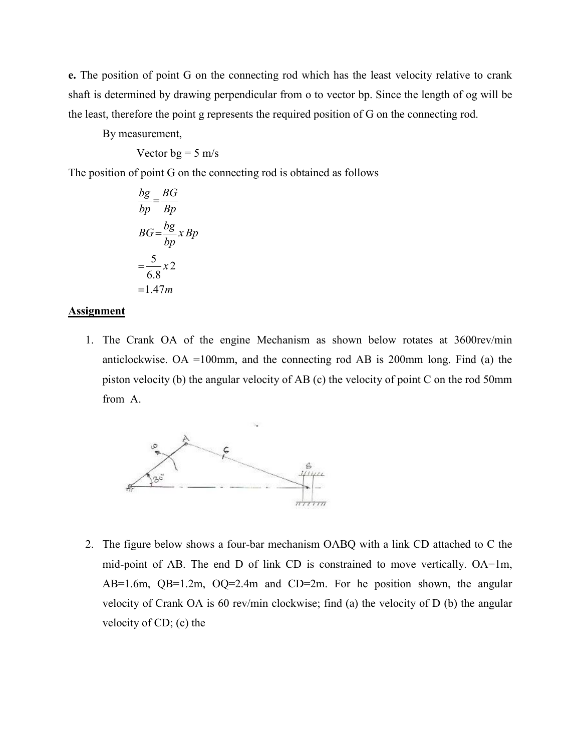**e.** The position of point G on the connecting rod which has the least velocity relative to crank shaft is determined by drawing perpendicular from o to vector bp. Since the length of og will be the least, therefore the point g represents the required position of G on the connecting rod.

By measurement,

Vector 
$$
bg = 5 \, \text{m/s}
$$

The position of point G on the connecting rod is obtained as follows

$$
\frac{bg}{bp} = \frac{BG}{Bp}
$$
  
 
$$
BG = \frac{bg}{bp} \times Bp
$$
  
 
$$
= \frac{5}{6.8} \times 2
$$
  
 
$$
= 1.47m
$$

#### **Assignment**

1. The Crank OA of the engine Mechanism as shown below rotates at 3600rev/min anticlockwise. OA =100mm, and the connecting rod AB is 200mm long. Find (a) the piston velocity (b) the angular velocity of AB (c) the velocity of point C on the rod 50mm from A.



2. The figure below shows a four-bar mechanism OABQ with a link CD attached to C the mid-point of AB. The end D of link CD is constrained to move vertically. OA=1m, AB=1.6m, QB=1.2m, OQ=2.4m and CD=2m. For he position shown, the angular velocity of Crank OA is 60 rev/min clockwise; find (a) the velocity of D (b) the angular velocity of CD; (c) the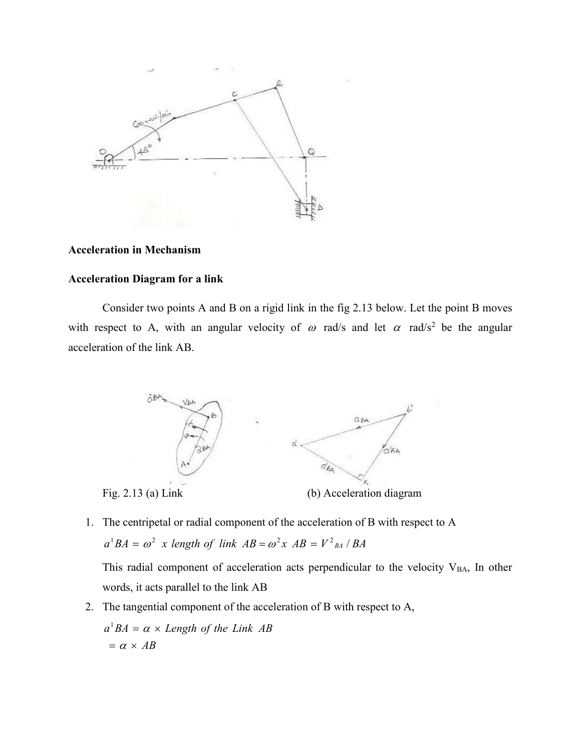

# **Acceleration in Mechanism**

### **Acceleration Diagram for a link**

Consider two points A and B on a rigid link in the fig 2.13 below. Let the point B moves with respect to A, with an angular velocity of  $\omega$  rad/s and let  $\alpha$  rad/s<sup>2</sup> be the angular acceleration of the link AB.



1. The centripetal or radial component of the acceleration of B with respect to A  $a^1BA = \omega^2$  *x length of link*  $AB = \omega^2 x$   $AB = V^2_{BA}$  / BA

This radial component of acceleration acts perpendicular to the velocity  $V_{BA}$ , In other words, it acts parallel to the link AB

2. The tangential component of the acceleration of B with respect to A,

 $= \alpha \times AB$  $a^1BA = \alpha \times Length$  *of the Link AB*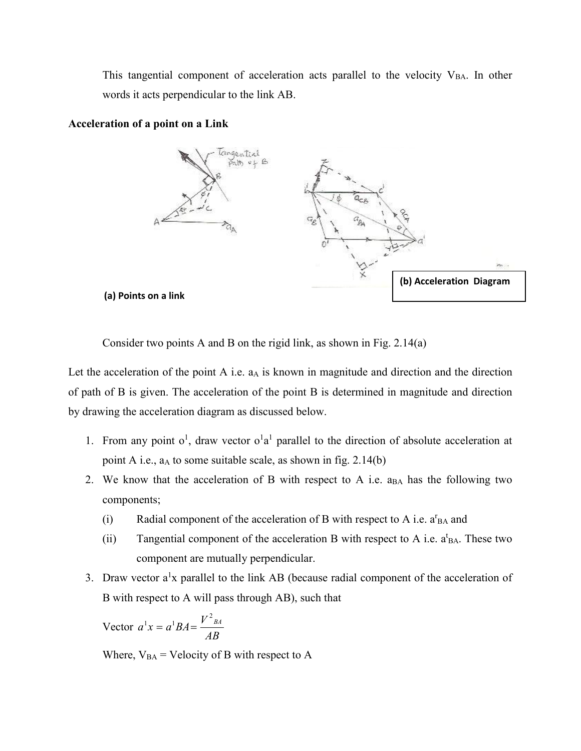This tangential component of acceleration acts parallel to the velocity  $V_{BA}$ . In other words it acts perpendicular to the link AB.



**Acceleration of a point on a Link** 

Consider two points A and B on the rigid link, as shown in Fig. 2.14(a)

Let the acceleration of the point A i.e.  $a<sub>A</sub>$  is known in magnitude and direction and the direction of path of B is given. The acceleration of the point B is determined in magnitude and direction by drawing the acceleration diagram as discussed below.

- 1. From any point  $o^1$ , draw vector  $o^1a^1$  parallel to the direction of absolute acceleration at point A i.e., aA to some suitable scale, as shown in fig. 2.14(b)
- 2. We know that the acceleration of B with respect to A i.e.  $a_{BA}$  has the following two components;
	- (i) Radial component of the acceleration of B with respect to A i.e.  $a_{BA}^{r}$  and
	- (ii) Tangential component of the acceleration B with respect to A i.e.  $a<sup>t</sup>BA$ . These two component are mutually perpendicular.
- 3. Draw vector  $a^1x$  parallel to the link AB (because radial component of the acceleration of B with respect to A will pass through AB), such that

Vector 
$$
a^1 x = a^1 BA = \frac{V^2_{BA}}{AB}
$$

Where,  $V_{BA}$  = Velocity of B with respect to A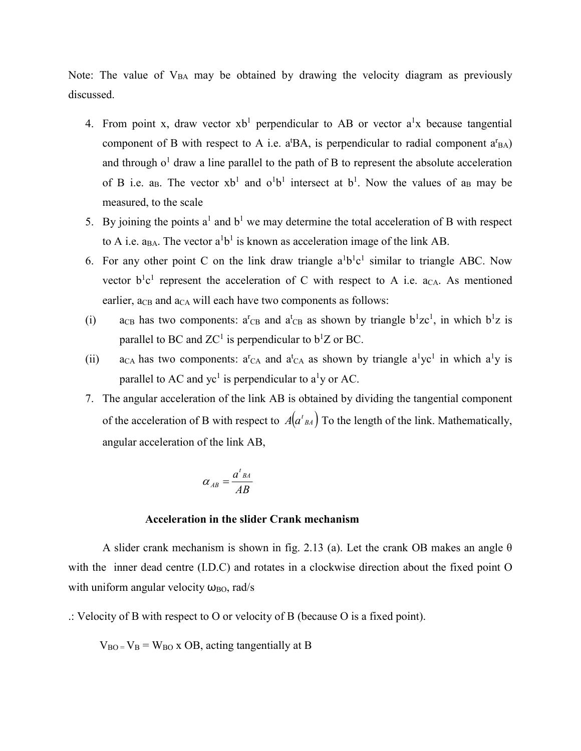Note: The value of  $V_{BA}$  may be obtained by drawing the velocity diagram as previously discussed.

- 4. From point x, draw vector  $xb<sup>1</sup>$  perpendicular to AB or vector  $a<sup>1</sup>x$  because tangential component of B with respect to A i.e.  $a^{t}BA$ , is perpendicular to radial component  $a^{r}BA$ ) and through  $o<sup>1</sup>$  draw a line parallel to the path of B to represent the absolute acceleration of B i.e. a<sub>B</sub>. The vector  $xb^1$  and  $o^1b^1$  intersect at  $b^1$ . Now the values of a<sub>B</sub> may be measured, to the scale
- 5. By joining the points  $a^1$  and  $b^1$  we may determine the total acceleration of B with respect to A i.e.  $a_{BA}$ . The vector  $a^1b^1$  is known as acceleration image of the link AB.
- 6. For any other point C on the link draw triangle  $a^1b^1c^1$  similar to triangle ABC. Now vector  $b<sup>1</sup>c<sup>1</sup>$  represent the acceleration of C with respect to A i.e. a<sub>CA</sub>. As mentioned earlier,  $a_{CB}$  and  $a_{CA}$  will each have two components as follows:
- (i) a<sub>CB</sub> has two components:  $a^{r}$ <sub>CB</sub> and  $a^{t}$ <sub>CB</sub> as shown by triangle  $b^{1}zc^{1}$ , in which  $b^{1}z$  is parallel to BC and  $ZC^1$  is perpendicular to  $b^1Z$  or BC.
- (ii) a<sub>CA</sub> has two components:  $a^{r}$ <sub>CA</sub> and  $a^{t}$ <sub>CA</sub> as shown by triangle  $a^{1}$ yc<sup>1</sup> in which  $a^{1}$ y is parallel to AC and yc<sup>1</sup> is perpendicular to a<sup>1</sup>y or AC.
- 7. The angular acceleration of the link AB is obtained by dividing the tangential component of the acceleration of B with respect to  $A(a_{BA}^t)$  To the length of the link. Mathematically, angular acceleration of the link AB,

$$
\alpha_{AB} = \frac{a^t{}_{BA}}{AB}
$$

### **Acceleration in the slider Crank mechanism**

A slider crank mechanism is shown in fig. 2.13 (a). Let the crank OB makes an angle  $\theta$ with the inner dead centre (I.D.C) and rotates in a clockwise direction about the fixed point O with uniform angular velocity  $\omega_{\text{BO}}$ , rad/s

.: Velocity of B with respect to O or velocity of B (because O is a fixed point).

 $V_{BO} = V_B = W_{BO}$  x OB, acting tangentially at B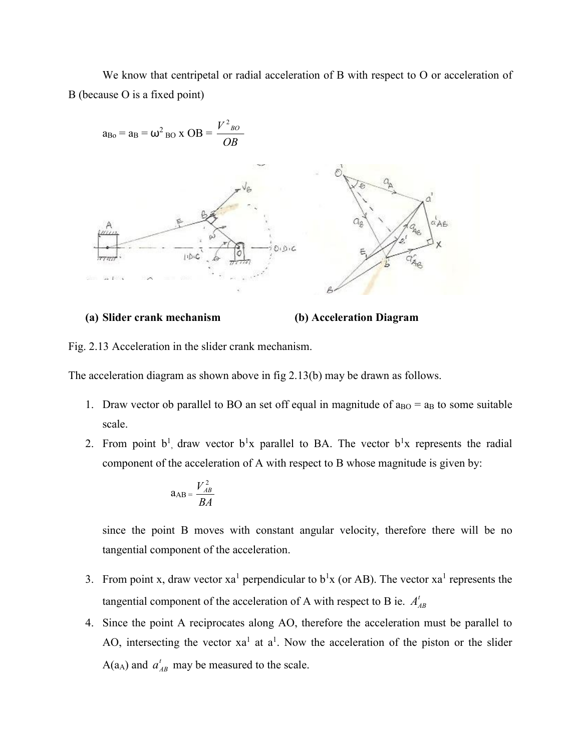We know that centripetal or radial acceleration of B with respect to O or acceleration of B (because O is a fixed point)



#### **(a) Slider crank mechanism (b) Acceleration Diagram**

Fig. 2.13 Acceleration in the slider crank mechanism.

The acceleration diagram as shown above in fig 2.13(b) may be drawn as follows.

- 1. Draw vector ob parallel to BO an set off equal in magnitude of  $a_{B0} = a_B$  to some suitable scale.
- 2. From point  $b^1$ , draw vector  $b^1x$  parallel to BA. The vector  $b^1x$  represents the radial component of the acceleration of A with respect to B whose magnitude is given by:

$$
a_{AB} = \frac{V_{AB}^2}{BA}
$$

since the point B moves with constant angular velocity, therefore there will be no tangential component of the acceleration.

- 3. From point x, draw vector  $xa^1$  perpendicular to  $b^1x$  (or AB). The vector  $xa^1$  represents the tangential component of the acceleration of A with respect to B ie.  $A_{AB}^{t}$
- 4. Since the point A reciprocates along AO, therefore the acceleration must be parallel to AO, intersecting the vector  $xa^1$  at  $a^1$ . Now the acceleration of the piston or the slider  $A(a_A)$  and  $a'_{AB}$  may be measured to the scale.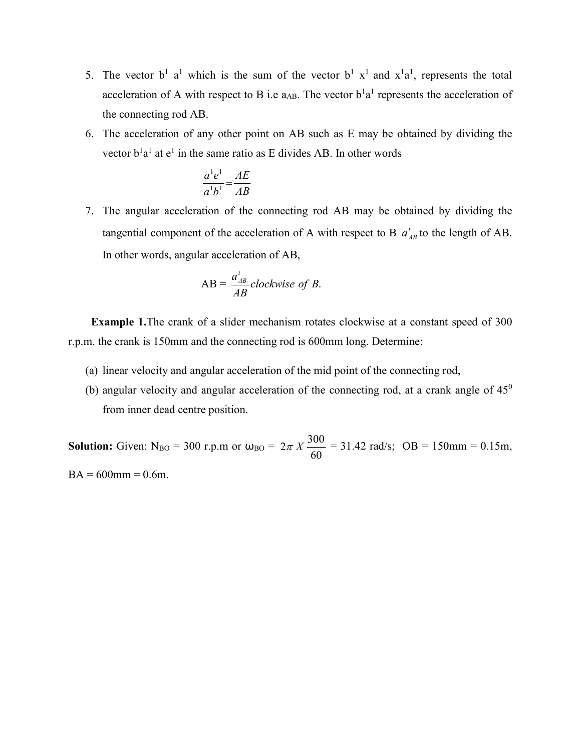- 5. The vector  $b^1$  a<sup>1</sup> which is the sum of the vector  $b^1$  x<sup>1</sup> and x<sup>1</sup>a<sup>1</sup>, represents the total acceleration of A with respect to B i.e  $a_{AB}$ . The vector  $b<sup>1</sup>a<sup>1</sup>$  represents the acceleration of the connecting rod AB.
- 6. The acceleration of any other point on AB such as E may be obtained by dividing the vector  $b<sup>1</sup>a<sup>1</sup>$  at  $e<sup>1</sup>$  in the same ratio as E divides AB. In other words

$$
\frac{a^1e^1}{a^1b^1} = \frac{AE}{AB}
$$

7. The angular acceleration of the connecting rod AB may be obtained by dividing the tangential component of the acceleration of A with respect to B  $a_{AB}^t$  to the length of AB. In other words, angular acceleration of AB,

$$
AB = \frac{a_{AB}^t}{AB} clockwise\ of\ B.
$$

 **Example 1.**The crank of a slider mechanism rotates clockwise at a constant speed of 300 r.p.m. the crank is 150mm and the connecting rod is 600mm long. Determine:

- (a) linear velocity and angular acceleration of the mid point of the connecting rod,
- (b) angular velocity and angular acceleration of the connecting rod, at a crank angle of  $45^\circ$ from inner dead centre position.

**Solution:** Given:  $N_{BO} = 300$  r.p.m or  $\omega_{BO} =$ 60  $2\pi X \frac{300}{60} = 31.42$  rad/s; OB = 150mm = 0.15m,  $BA = 600$ mm = 0.6m.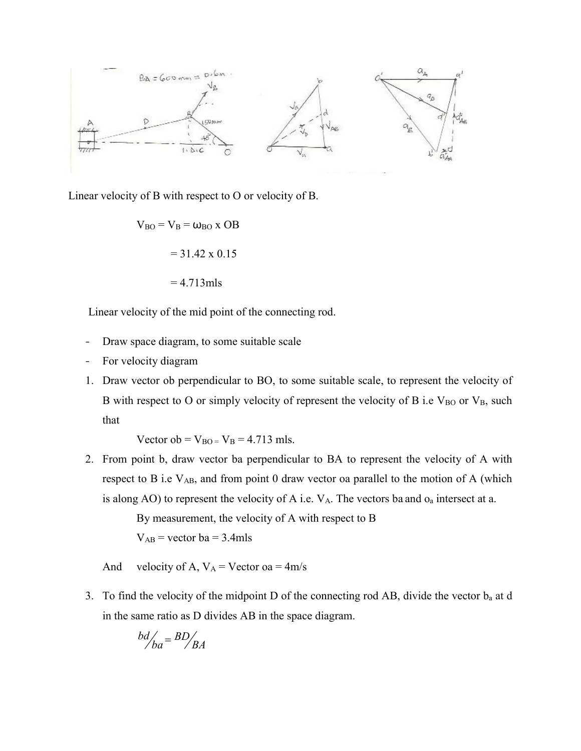

Linear velocity of B with respect to O or velocity of B.

 $V_{BO} = V_B = \omega_{BO}$  x OB  $= 31.42 \times 0.15$  $= 4.713$ mls

Linear velocity of the mid point of the connecting rod.

- Draw space diagram, to some suitable scale
- For velocity diagram
- 1. Draw vector ob perpendicular to BO, to some suitable scale, to represent the velocity of B with respect to O or simply velocity of represent the velocity of B i.e  $V_{BO}$  or  $V_{B}$ , such that

Vector ob =  $V_{BO} = V_B = 4.713$  mls.

2. From point b, draw vector ba perpendicular to BA to represent the velocity of A with respect to B i.e  $V_{AB}$ , and from point 0 draw vector oa parallel to the motion of A (which is along AO) to represent the velocity of A i.e.  $V_A$ . The vectors ba and  $o_a$  intersect at a.

> By measurement, the velocity of A with respect to B  $V_{AB}$  = vector ba = 3.4mls

And velocity of A,  $V_A$  = Vector oa = 4m/s

3. To find the velocity of the midpoint D of the connecting rod AB, divide the vector ba at d in the same ratio as D divides AB in the space diagram.

$$
\frac{bd}{ba} = BD/BA
$$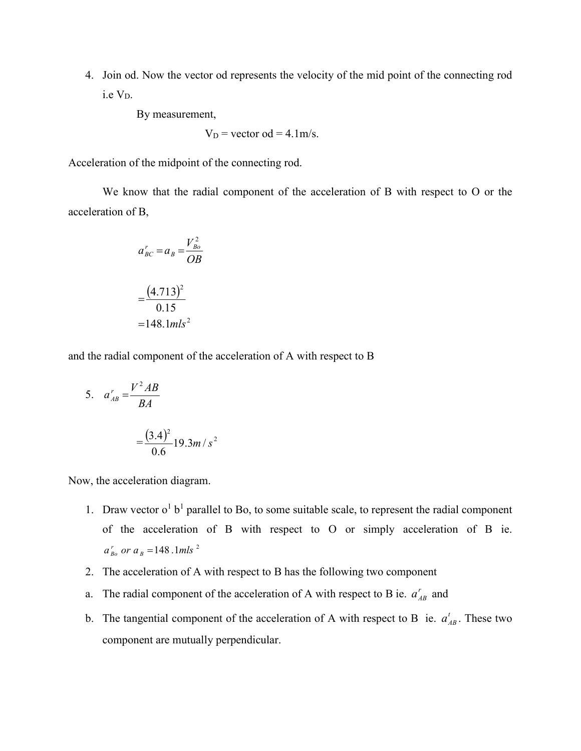4. Join od. Now the vector od represents the velocity of the mid point of the connecting rod i.e VD.

By measurement,

$$
V_D
$$
 = vector od = 4.1m/s.

Acceleration of the midpoint of the connecting rod.

We know that the radial component of the acceleration of B with respect to O or the acceleration of B,

$$
a'_{BC} = a_B = \frac{V_{Bo}^2}{OB}
$$

$$
= \frac{(4.713)^2}{0.15}
$$

$$
= 148.1 mls^2
$$

and the radial component of the acceleration of A with respect to B

5. 
$$
a'_{AB} = \frac{V^2 AB}{BA}
$$
  
=  $\frac{(3.4)^2}{0.6} 19.3 m/s^2$ 

Now, the acceleration diagram.

- 1. Draw vector  $o^1 b^1$  parallel to Bo, to some suitable scale, to represent the radial component of the acceleration of B with respect to O or simply acceleration of B ie.  $a_{Bo}^r$  or  $a_B^{}$  = 148 .1mls<sup>2</sup>
- 2. The acceleration of A with respect to B has the following two component
- a. The radial component of the acceleration of A with respect to B ie.  $a_{AB}^r$  and
- b. The tangential component of the acceleration of A with respect to B ie.  $a_{AB}^t$ . These two component are mutually perpendicular.